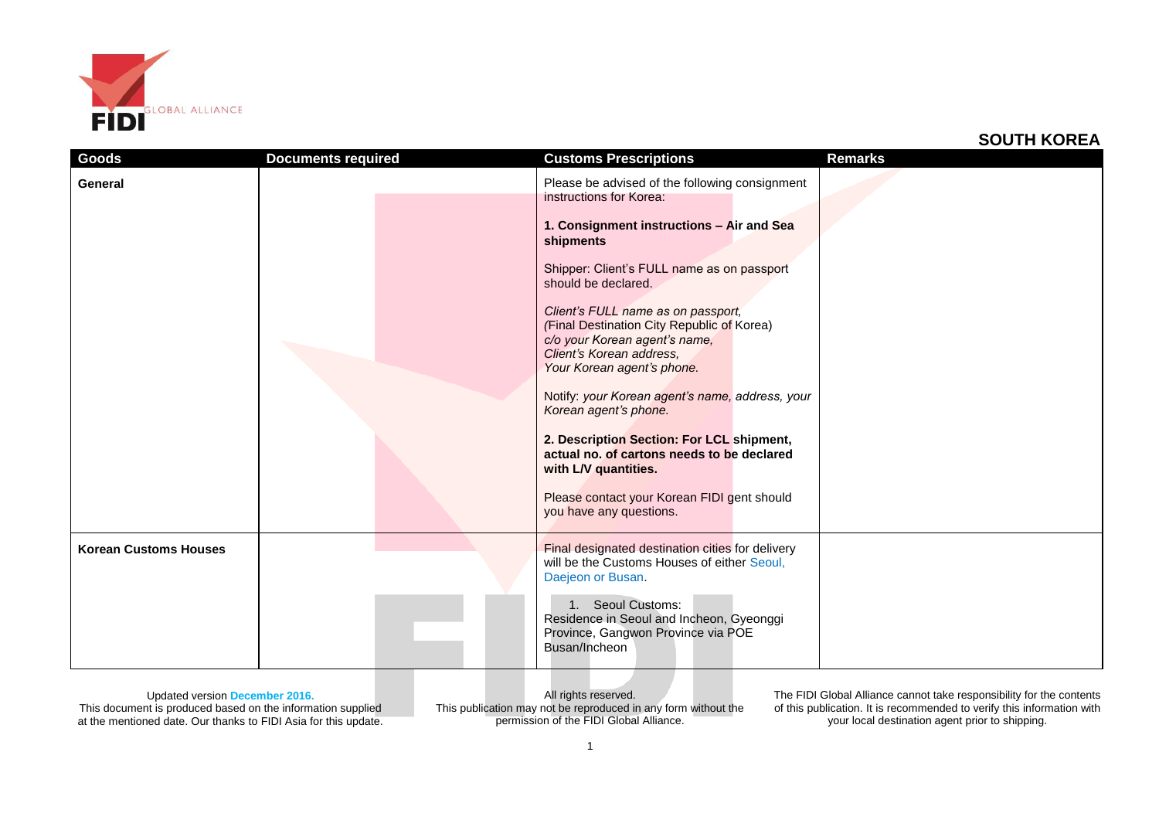

| Goods<br>General             | <b>Documents required</b> | <b>Customs Prescriptions</b><br>Please be advised of the following consignment<br>instructions for Korea:<br>1. Consignment instructions - Air and Sea<br>shipments<br>Shipper: Client's FULL name as on passport<br>should be declared.<br>Client's FULL name as on passport,<br>(Final Destination City Republic of Korea)<br>c/o your Korean agent's name,<br>Client's Korean address,<br>Your Korean agent's phone. | <b>Remarks</b> |
|------------------------------|---------------------------|-------------------------------------------------------------------------------------------------------------------------------------------------------------------------------------------------------------------------------------------------------------------------------------------------------------------------------------------------------------------------------------------------------------------------|----------------|
|                              |                           | Notify: your Korean agent's name, address, your<br>Korean agent's phone.<br>2. Description Section: For LCL shipment,<br>actual no. of cartons needs to be declared<br>with L/V quantities.<br>Please contact your Korean FIDI gent should<br>you have any questions.                                                                                                                                                   |                |
| <b>Korean Customs Houses</b> |                           | Final designated destination cities for delivery<br>will be the Customs Houses of either Seoul,<br>Daejeon or Busan.<br>1. Seoul Customs:<br>Residence in Seoul and Incheon, Gyeonggi<br>Province, Gangwon Province via POE<br>Busan/Incheon                                                                                                                                                                            |                |

Updated version **December 2016.**

This document is produced based on the information supplied at the mentioned date. Our thanks to FIDI Asia for this update.

All rights reserved. This publication may not be reproduced in any form without the permission of the FIDI Global Alliance.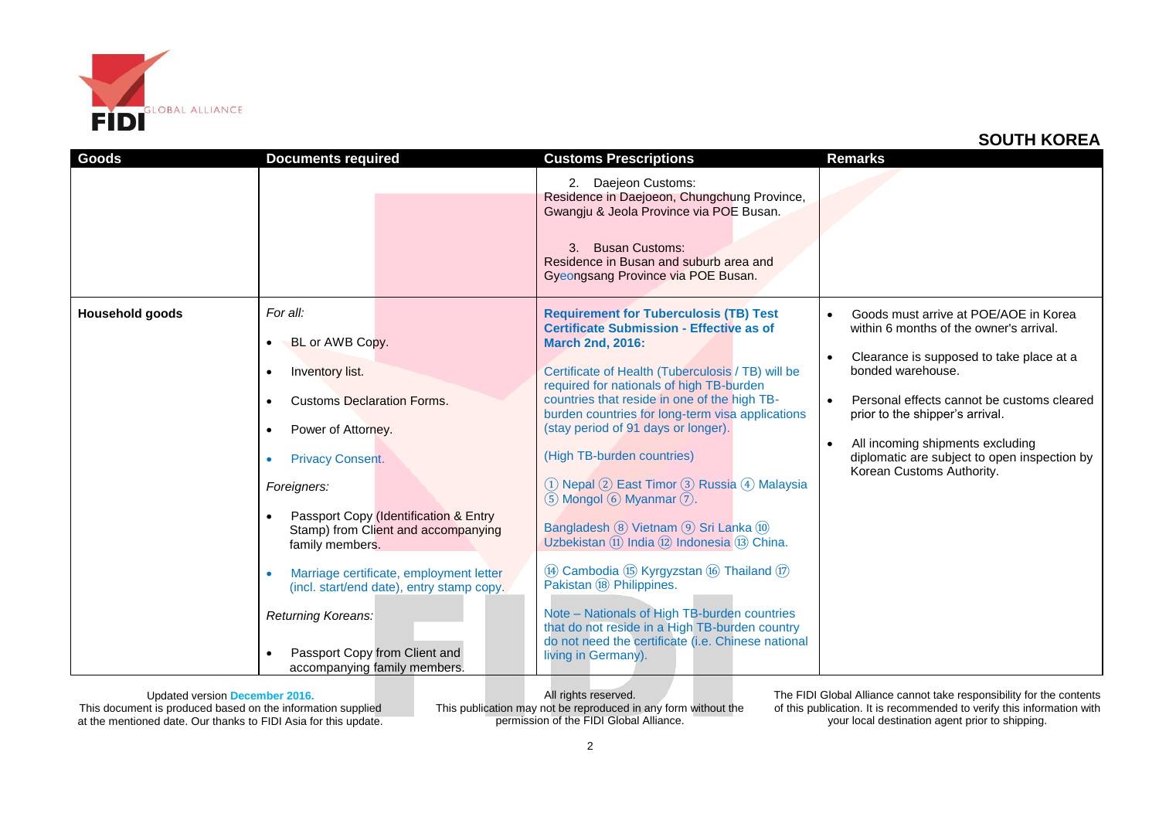

| Goods                  | <b>Documents required</b>                                                                       | <b>Customs Prescriptions</b>                                                                                                                                                                                       | <b>Remarks</b>                                                                   |
|------------------------|-------------------------------------------------------------------------------------------------|--------------------------------------------------------------------------------------------------------------------------------------------------------------------------------------------------------------------|----------------------------------------------------------------------------------|
|                        |                                                                                                 | 2. Daejeon Customs:<br>Residence in Daejoeon, Chungchung Province,<br>Gwangju & Jeola Province via POE Busan.<br>3. Busan Customs:<br>Residence in Busan and suburb area and<br>Gyeongsang Province via POE Busan. |                                                                                  |
| <b>Household goods</b> | For all:<br>BL or AWB Copy.                                                                     | <b>Requirement for Tuberculosis (TB) Test</b><br><b>Certificate Submission - Effective as of</b><br><b>March 2nd, 2016:</b>                                                                                        | Goods must arrive at POE/AOE in Korea<br>within 6 months of the owner's arrival. |
|                        | Inventory list.<br>$\bullet$                                                                    | Certificate of Health (Tuberculosis / TB) will be<br>required for nationals of high TB-burden                                                                                                                      | Clearance is supposed to take place at a<br>bonded warehouse.                    |
|                        | <b>Customs Declaration Forms.</b>                                                               | countries that reside in one of the high TB-<br>burden countries for long-term visa applications                                                                                                                   | Personal effects cannot be customs cleared<br>prior to the shipper's arrival.    |
|                        | Power of Attorney.                                                                              | (stay period of 91 days or longer).<br>(High TB-burden countries)                                                                                                                                                  | All incoming shipments excluding                                                 |
|                        | <b>Privacy Consent.</b><br>Foreigners:                                                          | 1) Nepal 2) East Timor 3) Russia 4) Malaysia<br>$(5)$ Mongol $(6)$ Myanmar $(7)$ .                                                                                                                                 | diplomatic are subject to open inspection by<br>Korean Customs Authority.        |
|                        | Passport Copy (Identification & Entry<br>Stamp) from Client and accompanying<br>family members. | Bangladesh (8) Vietnam (9) Sri Lanka (10)<br>Uzbekistan (11) India (12) Indonesia (13) China.                                                                                                                      |                                                                                  |
|                        | Marriage certificate, employment letter<br>(incl. start/end date), entry stamp copy.            | (4) Cambodia (15) Kyrgyzstan (16) Thailand (17)<br>Pakistan (18) Philippines.                                                                                                                                      |                                                                                  |
|                        | Returning Koreans:<br>Passport Copy from Client and<br>accompanying family members.             | Note - Nationals of High TB-burden countries<br>that do not reside in a High TB-burden country<br>do not need the certificate (i.e. Chinese national<br>living in Germany).                                        |                                                                                  |

Updated version **December 2016.** This document is produced based on the information supplied at the mentioned date. Our thanks to FIDI Asia for this update.

All rights reserved. This publication may not be reproduced in any form without the permission of the FIDI Global Alliance.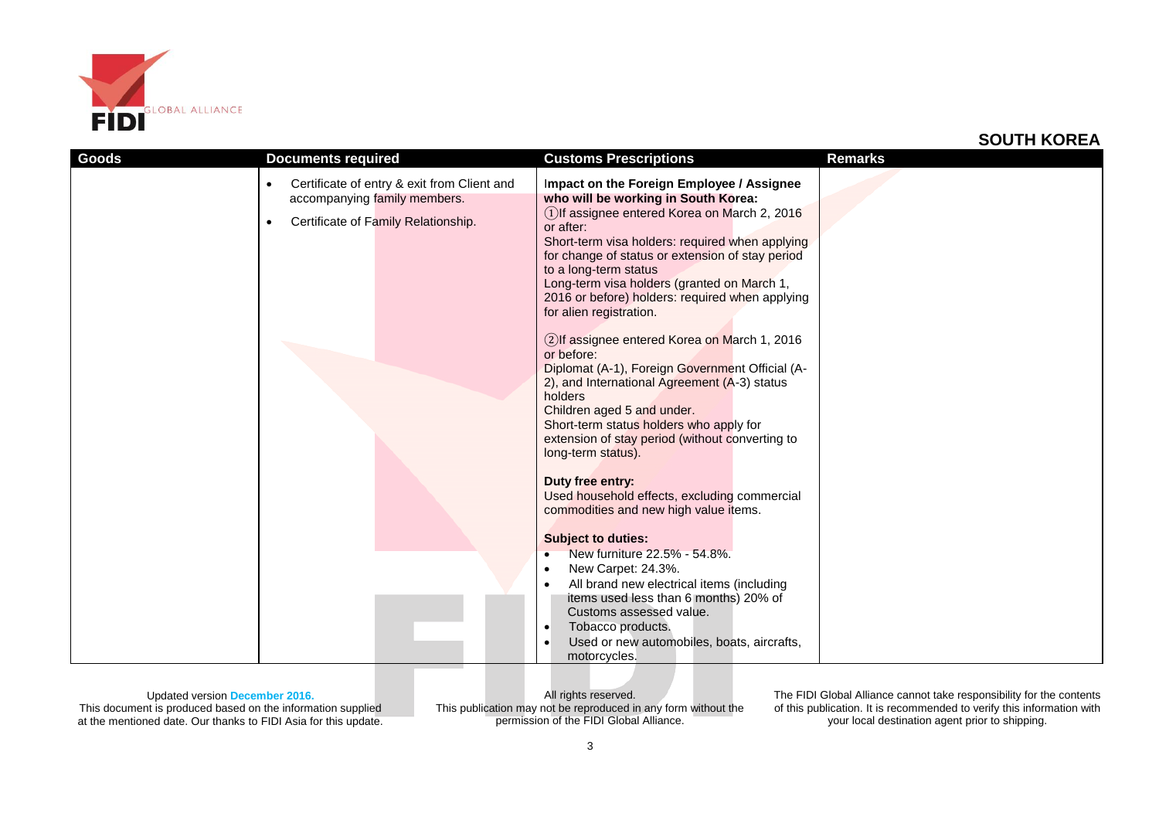

| <b>Goods</b> | <b>Documents required</b>                                                                                                            | <b>Customs Prescriptions</b>                                                                                                                                                                                                                                                                                                                                                                                                                                                                                                                                                                                                                                                                                                               | <b>Remarks</b> |
|--------------|--------------------------------------------------------------------------------------------------------------------------------------|--------------------------------------------------------------------------------------------------------------------------------------------------------------------------------------------------------------------------------------------------------------------------------------------------------------------------------------------------------------------------------------------------------------------------------------------------------------------------------------------------------------------------------------------------------------------------------------------------------------------------------------------------------------------------------------------------------------------------------------------|----------------|
|              | Certificate of entry & exit from Client and<br>$\bullet$<br>accompanying family members.<br>Certificate of Family Relationship.<br>٠ | Impact on the Foreign Employee / Assignee<br>who will be working in South Korea:<br>1) If assignee entered Korea on March 2, 2016<br>or after:<br>Short-term visa holders: required when applying<br>for change of status or extension of stay period<br>to a long-term status<br>Long-term visa holders (granted on March 1,<br>2016 or before) holders: required when applying<br>for alien registration.<br>2) If assignee entered Korea on March 1, 2016<br>or before:<br>Diplomat (A-1), Foreign Government Official (A-<br>2), and International Agreement (A-3) status<br>holders<br>Children aged 5 and under.<br>Short-term status holders who apply for<br>extension of stay period (without converting to<br>long-term status). |                |
|              |                                                                                                                                      | Duty free entry:<br>Used household effects, excluding commercial<br>commodities and new high value items.<br><b>Subject to duties:</b><br>New furniture 22.5% - 54.8%.<br>$\bullet$<br>New Carpet: 24.3%.<br>$\bullet$<br>All brand new electrical items (including<br>$\bullet$<br>items used less than 6 months) 20% of                                                                                                                                                                                                                                                                                                                                                                                                                  |                |
|              |                                                                                                                                      | Customs assessed value.<br>Tobacco products.<br>$\bullet$<br>Used or new automobiles, boats, aircrafts,<br>$\bullet$<br>motorcycles.                                                                                                                                                                                                                                                                                                                                                                                                                                                                                                                                                                                                       |                |

Updated version **December 2016.** This document is produced based on the information supplied at the mentioned date. Our thanks to FIDI Asia for this update.

All rights reserved. This publication may not be reproduced in any form without the permission of the FIDI Global Alliance.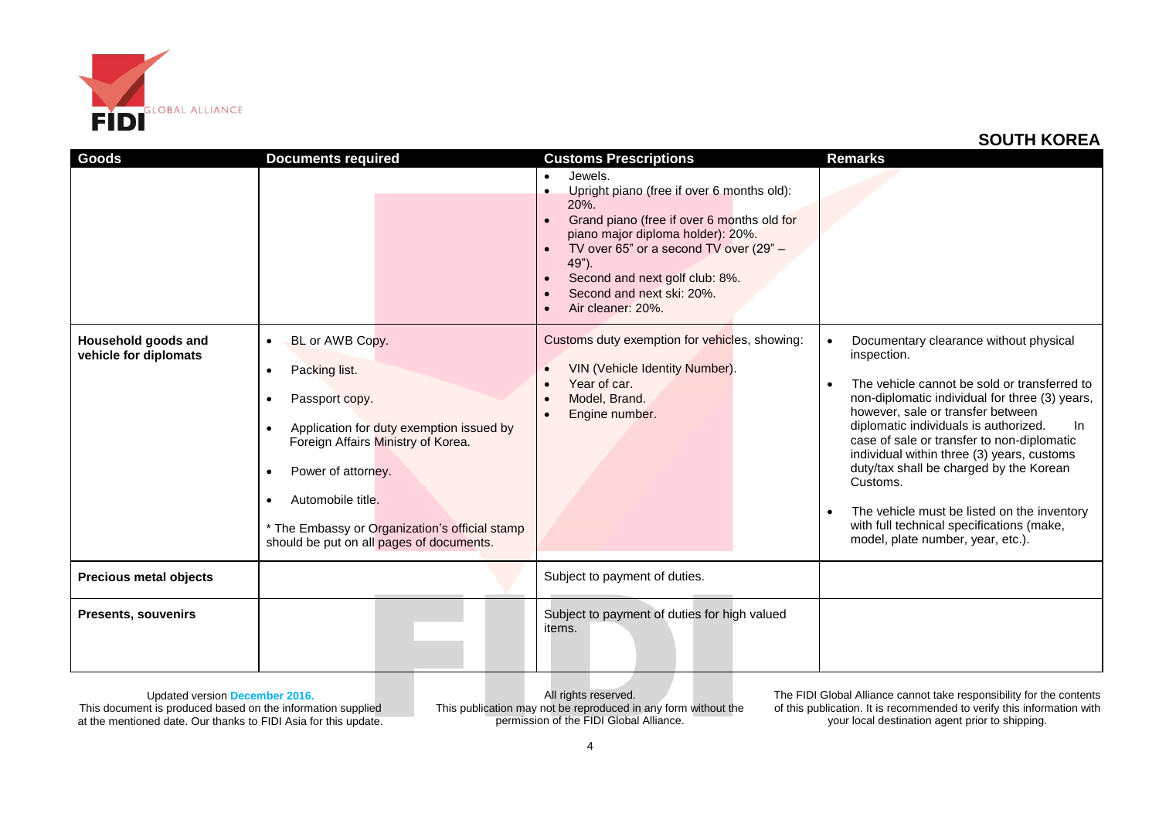

| Goods                                        | <b>Documents required</b>                                                                                                                                                                                                                                                                                                                           | <b>Customs Prescriptions</b>                                                                                                                                                                                                                                                                                      | <b>Remarks</b>                                                                                                                                                                                                                                                                                                                                                                                                                                                                                                                  |
|----------------------------------------------|-----------------------------------------------------------------------------------------------------------------------------------------------------------------------------------------------------------------------------------------------------------------------------------------------------------------------------------------------------|-------------------------------------------------------------------------------------------------------------------------------------------------------------------------------------------------------------------------------------------------------------------------------------------------------------------|---------------------------------------------------------------------------------------------------------------------------------------------------------------------------------------------------------------------------------------------------------------------------------------------------------------------------------------------------------------------------------------------------------------------------------------------------------------------------------------------------------------------------------|
|                                              |                                                                                                                                                                                                                                                                                                                                                     | Jewels.<br>$\bullet$<br>Upright piano (free if over 6 months old):<br>$\bullet$<br>20%.<br>Grand piano (free if over 6 months old for<br>piano major diploma holder): 20%.<br>TV over 65" or a second TV over (29" -<br>49").<br>Second and next golf club: 8%.<br>Second and next ski: 20%.<br>Air cleaner: 20%. |                                                                                                                                                                                                                                                                                                                                                                                                                                                                                                                                 |
| Household goods and<br>vehicle for diplomats | BL or AWB Copy.<br>$\bullet$<br>Packing list.<br>$\bullet$<br>Passport copy.<br>٠<br>Application for duty exemption issued by<br>$\bullet$<br>Foreign Affairs Ministry of Korea.<br>Power of attorney.<br>$\bullet$<br>Automobile title.<br>$\bullet$<br>* The Embassy or Organization's official stamp<br>should be put on all pages of documents. | Customs duty exemption for vehicles, showing:<br>VIN (Vehicle Identity Number).<br>Year of car.<br>Model, Brand.<br>Engine number.<br>$\bullet$                                                                                                                                                                   | Documentary clearance without physical<br>inspection.<br>The vehicle cannot be sold or transferred to<br>non-diplomatic individual for three (3) years,<br>however, sale or transfer between<br>diplomatic individuals is authorized.<br>In<br>case of sale or transfer to non-diplomatic<br>individual within three (3) years, customs<br>duty/tax shall be charged by the Korean<br>Customs.<br>The vehicle must be listed on the inventory<br>with full technical specifications (make,<br>model, plate number, year, etc.). |
| <b>Precious metal objects</b>                |                                                                                                                                                                                                                                                                                                                                                     | Subject to payment of duties.                                                                                                                                                                                                                                                                                     |                                                                                                                                                                                                                                                                                                                                                                                                                                                                                                                                 |
| <b>Presents, souvenirs</b>                   |                                                                                                                                                                                                                                                                                                                                                     | Subject to payment of duties for high valued<br>items.                                                                                                                                                                                                                                                            |                                                                                                                                                                                                                                                                                                                                                                                                                                                                                                                                 |

Updated version **December 2016.** This document is produced based on the information supplied at the mentioned date. Our thanks to FIDI Asia for this update.

All rights reserved. This publication may not be reproduced in any form without the permission of the FIDI Global Alliance.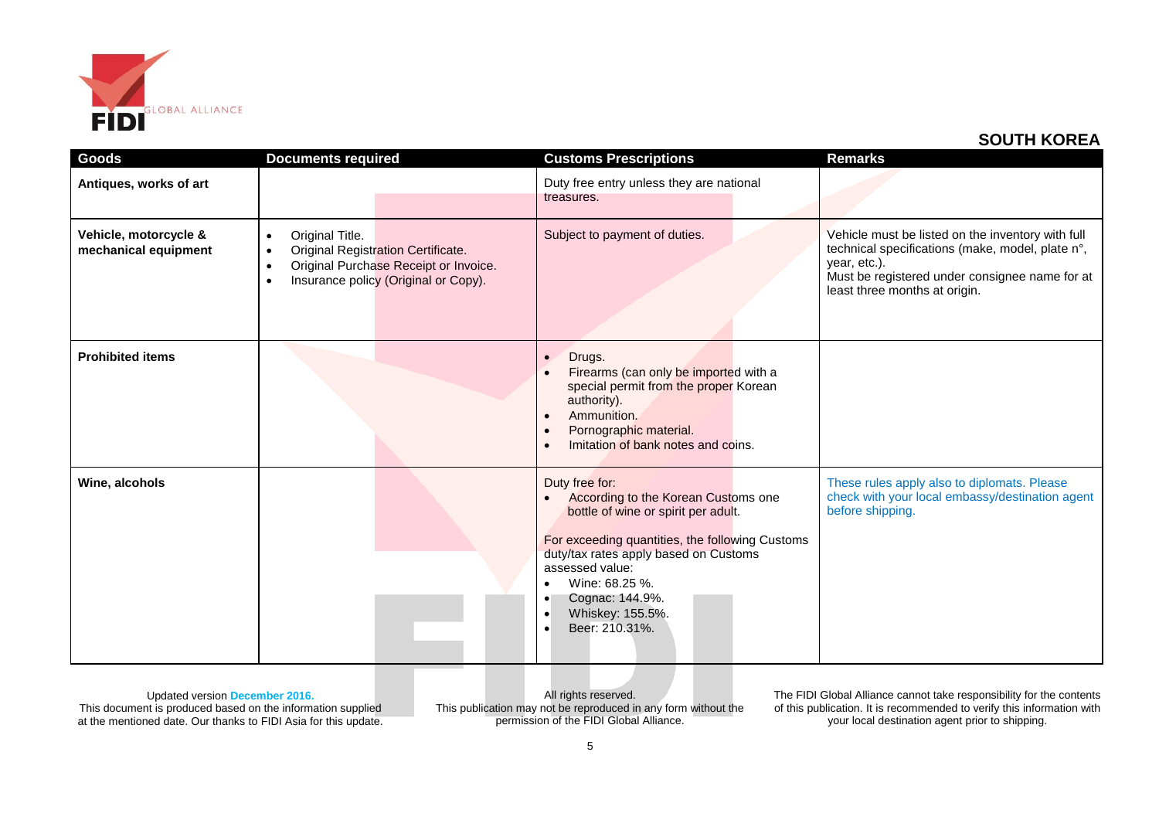

| Goods                                         | <b>Documents required</b>                                                                                                                                                                         | <b>Customs Prescriptions</b>                                                                                                                                                                                                                                                                                                  | <b>Remarks</b>                                                                                                                                                                                           |
|-----------------------------------------------|---------------------------------------------------------------------------------------------------------------------------------------------------------------------------------------------------|-------------------------------------------------------------------------------------------------------------------------------------------------------------------------------------------------------------------------------------------------------------------------------------------------------------------------------|----------------------------------------------------------------------------------------------------------------------------------------------------------------------------------------------------------|
| Antiques, works of art                        |                                                                                                                                                                                                   | Duty free entry unless they are national<br>treasures.                                                                                                                                                                                                                                                                        |                                                                                                                                                                                                          |
| Vehicle, motorcycle &<br>mechanical equipment | Original Title.<br>$\bullet$<br><b>Original Registration Certificate.</b><br>$\bullet$<br>Original Purchase Receipt or Invoice.<br>$\bullet$<br>Insurance policy (Original or Copy).<br>$\bullet$ | Subject to payment of duties.                                                                                                                                                                                                                                                                                                 | Vehicle must be listed on the inventory with full<br>technical specifications (make, model, plate n°,<br>year, etc.).<br>Must be registered under consignee name for at<br>least three months at origin. |
| <b>Prohibited items</b>                       |                                                                                                                                                                                                   | Drugs.<br>$\bullet$<br>Firearms (can only be imported with a<br>special permit from the proper Korean<br>authority).<br>Ammunition.<br>Pornographic material.<br>$\bullet$<br>Imitation of bank notes and coins.                                                                                                              |                                                                                                                                                                                                          |
| Wine, alcohols                                |                                                                                                                                                                                                   | Duty free for:<br>According to the Korean Customs one<br>bottle of wine or spirit per adult.<br>For exceeding quantities, the following Customs<br>duty/tax rates apply based on Customs<br>assessed value:<br>Wine: 68.25 %.<br>Cognac: 144.9%.<br>$\bullet$<br>Whiskey: 155.5%.<br>$\bullet$<br>Beer: 210.31%.<br>$\bullet$ | These rules apply also to diplomats. Please<br>check with your local embassy/destination agent<br>before shipping.                                                                                       |

Updated version **December 2016.** This document is produced based on the information supplied at the mentioned date. Our thanks to FIDI Asia for this update.

All rights reserved. This publication may not be reproduced in any form without the permission of the FIDI Global Alliance.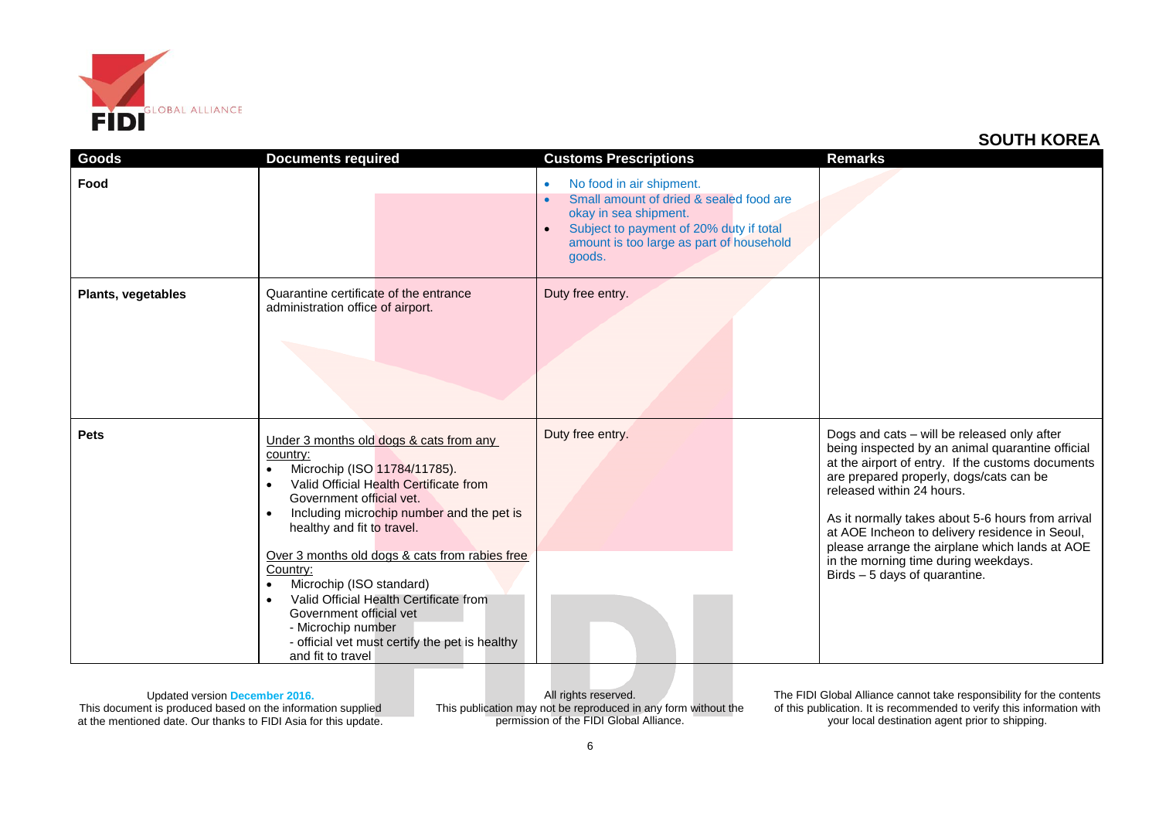

| Goods                     | <b>Documents required</b>                                                                                                                                                                                                                                                                                                                                                                                                                                                                                                                                         | <b>Customs Prescriptions</b>                                                                                                                                                                                                         | <b>Remarks</b>                                                                                                                                                                                                                                                                                                                                                                                                                                                 |
|---------------------------|-------------------------------------------------------------------------------------------------------------------------------------------------------------------------------------------------------------------------------------------------------------------------------------------------------------------------------------------------------------------------------------------------------------------------------------------------------------------------------------------------------------------------------------------------------------------|--------------------------------------------------------------------------------------------------------------------------------------------------------------------------------------------------------------------------------------|----------------------------------------------------------------------------------------------------------------------------------------------------------------------------------------------------------------------------------------------------------------------------------------------------------------------------------------------------------------------------------------------------------------------------------------------------------------|
| Food                      |                                                                                                                                                                                                                                                                                                                                                                                                                                                                                                                                                                   | No food in air shipment.<br>$\bullet$<br>Small amount of dried & sealed food are<br>$\bullet$<br>okay in sea shipment.<br>Subject to payment of 20% duty if total<br>$\bullet$<br>amount is too large as part of household<br>goods. |                                                                                                                                                                                                                                                                                                                                                                                                                                                                |
| <b>Plants, vegetables</b> | Quarantine certificate of the entrance<br>administration office of airport.                                                                                                                                                                                                                                                                                                                                                                                                                                                                                       | Duty free entry.                                                                                                                                                                                                                     |                                                                                                                                                                                                                                                                                                                                                                                                                                                                |
| <b>Pets</b>               | Under 3 months old dogs & cats from any<br>country:<br>Microchip (ISO 11784/11785).<br>$\bullet$<br>Valid Official Health Certificate from<br>$\bullet$<br>Government official vet.<br>Including microchip number and the pet is<br>$\bullet$<br>healthy and fit to travel.<br>Over 3 months old dogs & cats from rabies free<br>Country:<br>Microchip (ISO standard)<br>$\bullet$<br>Valid Official Health Certificate from<br>$\bullet$<br>Government official vet<br>- Microchip number<br>- official vet must certify the pet is healthy<br>and fit to travel | Duty free entry.                                                                                                                                                                                                                     | Dogs and cats - will be released only after<br>being inspected by an animal quarantine official<br>at the airport of entry. If the customs documents<br>are prepared properly, dogs/cats can be<br>released within 24 hours.<br>As it normally takes about 5-6 hours from arrival<br>at AOE Incheon to delivery residence in Seoul,<br>please arrange the airplane which lands at AOE<br>in the morning time during weekdays.<br>Birds - 5 days of quarantine. |

Updated version **December 2016.** This document is produced based on the information supplied at the mentioned date. Our thanks to FIDI Asia for this update.

All rights reserved. This publication may not be reproduced in any form without the permission of the FIDI Global Alliance.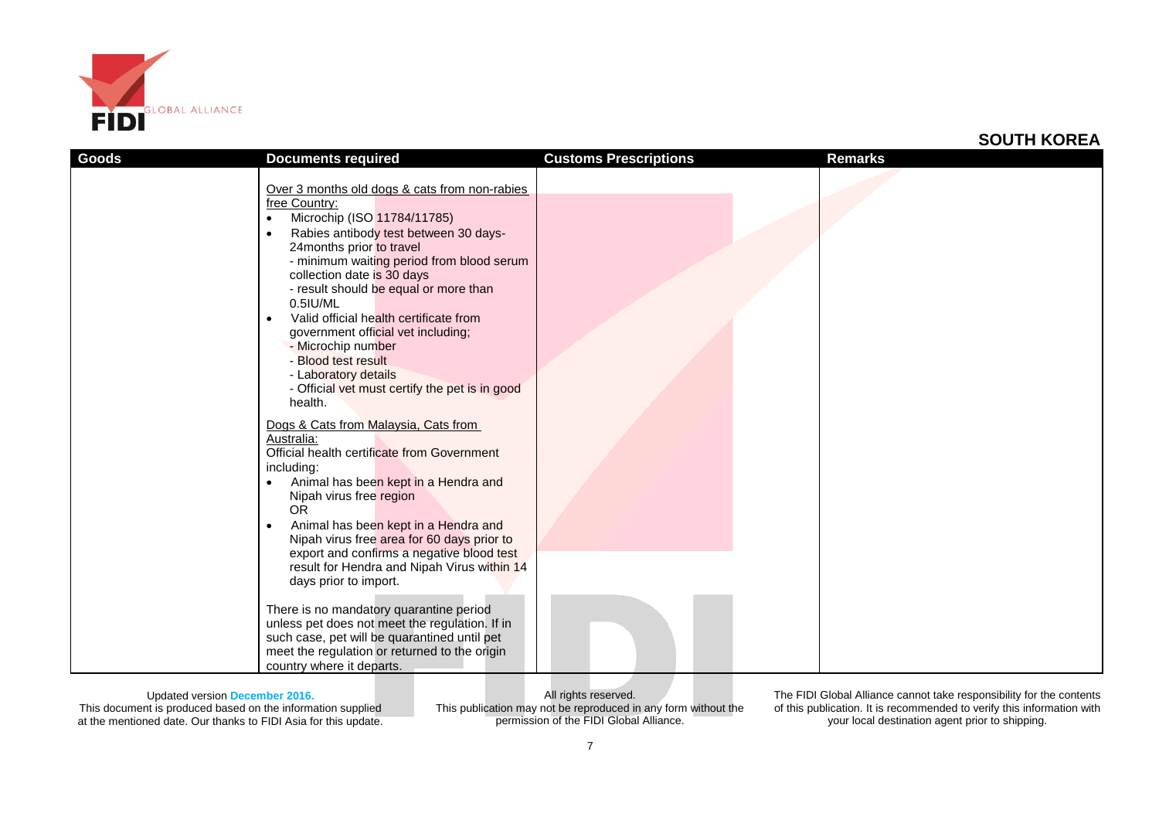

| Goods | <b>Documents required</b>                                                                                                                                                                                                                                                                                                                                                                                                                                                                                                                                                                                                                                                                                                                                                                                                                                         | <b>Customs Prescriptions</b> | Remarks |
|-------|-------------------------------------------------------------------------------------------------------------------------------------------------------------------------------------------------------------------------------------------------------------------------------------------------------------------------------------------------------------------------------------------------------------------------------------------------------------------------------------------------------------------------------------------------------------------------------------------------------------------------------------------------------------------------------------------------------------------------------------------------------------------------------------------------------------------------------------------------------------------|------------------------------|---------|
|       | Over 3 months old dogs & cats from non-rabies<br>free Country:<br>Microchip (ISO 11784/11785)<br>Rabies antibody test between 30 days-<br>$\bullet$<br>24months prior to travel<br>- minimum waiting period from blood serum<br>collection date is 30 days<br>- result should be equal or more than<br>0.5IU/ML<br>Valid official health certificate from<br>$\bullet$<br>government official vet including;<br>- Microchip number<br>- Blood test result<br>- Laboratory details<br>- Official vet must certify the pet is in good<br>health.<br>Dogs & Cats from Malaysia, Cats from<br>Australia:<br>Official health certificate from Government<br>including:<br>Animal has been kept in a Hendra and<br>$\bullet$<br>Nipah virus free region<br><b>OR</b><br>Animal has been kept in a Hendra and<br>$\bullet$<br>Nipah virus free area for 60 days prior to |                              |         |
|       | export and confirms a negative blood test<br>result for Hendra and Nipah Virus within 14                                                                                                                                                                                                                                                                                                                                                                                                                                                                                                                                                                                                                                                                                                                                                                          |                              |         |
|       | days prior to import.<br>There is no mandatory quarantine period<br>unless pet does not meet the regulation. If in<br>such case, pet will be quarantined until pet<br>meet the regulation or returned to the origin<br>country where it departs.                                                                                                                                                                                                                                                                                                                                                                                                                                                                                                                                                                                                                  |                              |         |

Updated version **December 2016.**

This document is produced based on the information supplied at the mentioned date. Our thanks to FIDI Asia for this update.

All rights reserved. This publication may not be reproduced in any form without the permission of the FIDI Global Alliance.